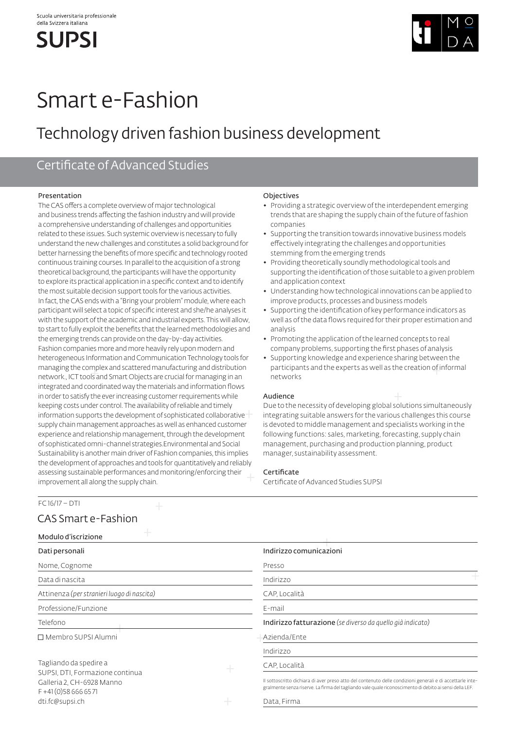**SUPSI** 



# Smart e-Fashion

## Technology driven fashion business development

## Certificate of Advanced Studies

## Presentation

The CAS offers a complete overview of major technological and business trends affecting the fashion industry and will provide a comprehensive understanding of challenges and opportunities related to these issues. Such systemic overview is necessary to fully understand the new challenges and constitutes a solid background for better harnessing the benefits of more specific and technology rooted continuous training courses. In parallel to the acquisition of a strong theoretical background, the participants will have the opportunity to explore its practical application in a specific context and to identify the most suitable decision support tools for the various activities. In fact, the CAS ends with a "Bring your problem" module, where each participant will select a topic of specific interest and she/he analyses it with the support of the academic and industrial experts. This will allow, to start to fully exploit the benefits that the learned methodologies and the emerging trends can provide on the day-by-day activities. Fashion companies more and more heavily rely upon modern and heterogeneous Information and Communication Technology tools for managing the complex and scattered manufacturing and distribution network., ICT tools and Smart Objects are crucial for managing in an integrated and coordinated way the materials and information flows in order to satisfy the ever increasing customer requirements while keeping costs under control. The availability of reliable and timely information supports the development of sophisticated collaborative supply chain management approaches as well as enhanced customer experience and relationship management, through the development of sophisticated omni-channel strategies.Environmental and Social Sustainability is another main driver of Fashion companies, this implies the development of approaches and tools for quantitatively and reliably assessing sustainable performances and monitoring/enforcing their improvement all along the supply chain.

## **Objectives**

- ◆ Providing a strategic overview of the interdependent emerging trends that are shaping the supply chain of the future of fashion companies
- ◆ Supporting the transition towards innovative business models effectively integrating the challenges and opportunities stemming from the emerging trends
- ◆ Providing theoretically soundly methodological tools and supporting the identification of those suitable to a given problem and application context
- ◆ Understanding how technological innovations can be applied to improve products, processes and business models
- ◆ Supporting the identification of key performance indicators as well as of the data flows required for their proper estimation and analysis
- ◆ Promoting the application of the learned concepts to real company problems, supporting the first phases of analysis
- ◆ Supporting knowledge and experience sharing between the participants and the experts as well as the creation of informal networks

## Audience

Due to the necessity of developing global solutions simultaneously integrating suitable answers for the various challenges this course is devoted to middle management and specialists working in the following functions: sales, marketing, forecasting, supply chain management, purchasing and production planning, product manager, sustainability assessment.

## **Certificate**

Certificate of Advanced Studies SUPSI

## FC 16/17 – DTI

## CAS Smart e-Fashion

| Modulo d'iscrizione                                                                                            |  |                                                                                                                                                                                                                      |
|----------------------------------------------------------------------------------------------------------------|--|----------------------------------------------------------------------------------------------------------------------------------------------------------------------------------------------------------------------|
| Dati personali                                                                                                 |  | Indirizzo comunicazioni                                                                                                                                                                                              |
| Nome, Cognome                                                                                                  |  | Presso                                                                                                                                                                                                               |
| Data di nascita                                                                                                |  | Indirizzo                                                                                                                                                                                                            |
| Attinenza (per stranieri luogo di nascita)                                                                     |  | CAP, Località                                                                                                                                                                                                        |
| Professione/Funzione                                                                                           |  | E-mail                                                                                                                                                                                                               |
| Telefono                                                                                                       |  | Indirizzo fatturazione (se diverso da quello già indicato)                                                                                                                                                           |
| $\Box$ Membro SUPSI Alumni                                                                                     |  | Azienda/Ente                                                                                                                                                                                                         |
|                                                                                                                |  | Indirizzo                                                                                                                                                                                                            |
| Tagliando da spedire a<br>SUPSI, DTI, Formazione continua<br>Galleria 2, CH-6928 Manno<br>$F + 41(0)586666571$ |  | CAP, Località                                                                                                                                                                                                        |
|                                                                                                                |  | Il sottoscritto dichiara di aver preso atto del contenuto delle condizioni generali e di accettarle inte-<br>gralmente senza riserve. La firma del tagliando vale quale riconoscimento di debito ai sensi della LEF. |
| dti.fc@supsi.ch                                                                                                |  | Data, Firma                                                                                                                                                                                                          |